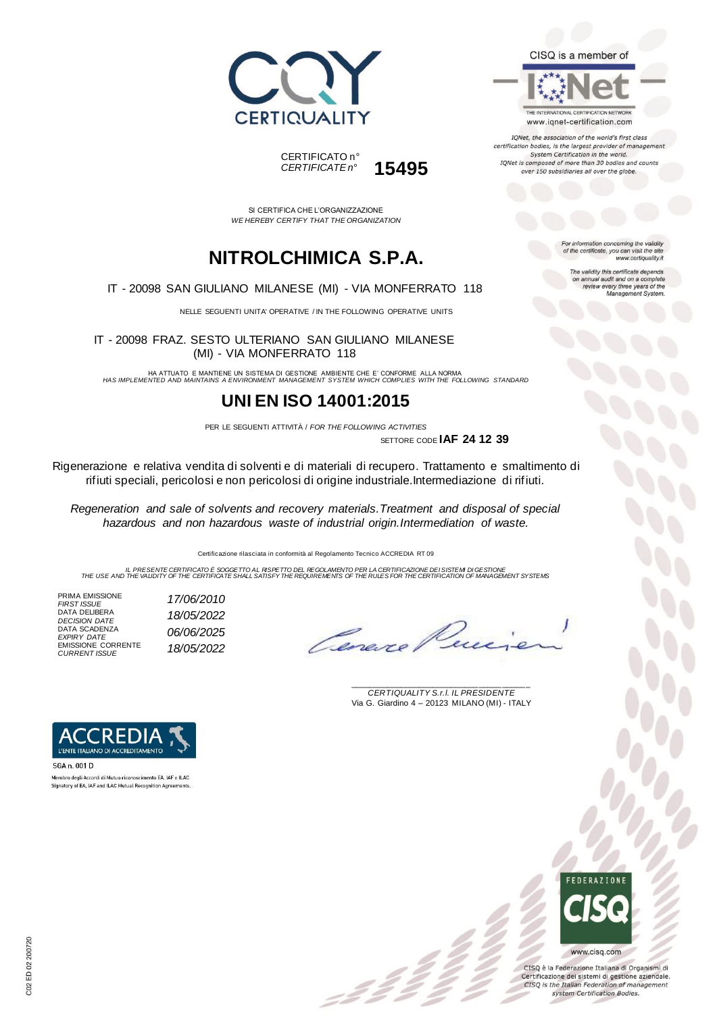





IQNet, the association of the world's first class certification bodies, is the largest provider of management System Certification in the world. IQNet is composed of more than 30 bodies and counts over 150 subsidiaries all over the globe.

SI CERTIFICA CHE L'ORGANIZZAZIONE *WE HEREBY CERTIFY THAT THE ORGANIZATION*

CERTIFICATO n°

*CERTIFICATE n°* **15495**

## **NITROLCHIMICA S.P.A.**

IT - 20098 SAN GIULIANO MILANESE (MI) - VIA MONFERRATO 118

NELLE SEGUENTI UNITA' OPERATIVE / IN THE FOLLOWING OPERATIVE UNITS

IT - 20098 FRAZ. SESTO ULTERIANO SAN GIULIANO MILANESE (MI) - VIA MONFERRATO 118

HA ATTUATO E MANTIENE UN SISTEMA DI GESTIONE AMBIENTE CHE E' CONFORME ALLA NORMA *HAS IMPLEMENTED AND MAINTAINS A ENVIRONMENT MANAGEMENT SYSTEM WHICH COMPLIES WITH THE FOLLOWING STANDARD*

#### **UNI EN ISO 14001:2015**

PER LE SEGUENTI ATTIVITÀ / *FOR THE FOLLOWING ACTIVITIES* SETTORE CODE **IAF 24 12 39**

Rigenerazione e relativa vendita di solventi e di materiali di recupero. Trattamento e smaltimento di rifiuti speciali, pericolosi e non pericolosi di origine industriale.Intermediazione di rifiuti.

*Regeneration and sale of solvents and recovery materials.Treatment and disposal of special hazardous and non hazardous waste of industrial origin.Intermediation of waste.*

Certificazione rilasciata in conformità al Regolamento Tecnico ACCREDIA RT 09

IL PRESSIVE THE PRESENTE CERTIFICATO E SOGGETTO AL RISPETTO DEL REGOLAMENTO PER LA CERTIFICAZIONE DEI SISTEM DI<br>THE USE AND THE VALIDITY OF THE CERTIFICATE SHALL SATISFY THE REQUIREMENTS OF THE RULES FOR THE CERTIFICATION

PRIMA EMISSIONE *FIRST ISSUE 17/06/2010* DATA DELIBERA *DECISION DATE 18/05/2022* DATA SCADENZA<br>*EXPIRY DATE* EMISSIONE CORRENTE<br>CURRENT ISSUE

*EXPIRY DATE 06/06/2025 CURRENT ISSUE 18/05/2022*

\_\_\_\_\_\_\_\_\_\_\_\_\_\_\_\_\_\_\_\_\_\_\_\_\_\_\_\_\_\_\_\_\_\_\_\_\_\_\_ *CERTIQUALITY S.r.l. IL PRESIDENTE* Via G. Giardino 4 – 20123 MILANO (MI) - ITALY



Membro degli Accordi di Mutuo riconoscimento EA, IAF e ILAC. Signatory of EA, IAF and ILAC Mutual Recognition Agreements



CISO è la Federazione Italiana di Organismi di Certificazione dei sistemi di gestione aziendale. CISQ is the Italian Federation of management system Certification Bodies.

For information concerning the validity<br>of the certificate, you can visit the site www.certiquality.it

The validity this certificate depends on annual audit and on a complete<br>review every three years of the<br>Management System.